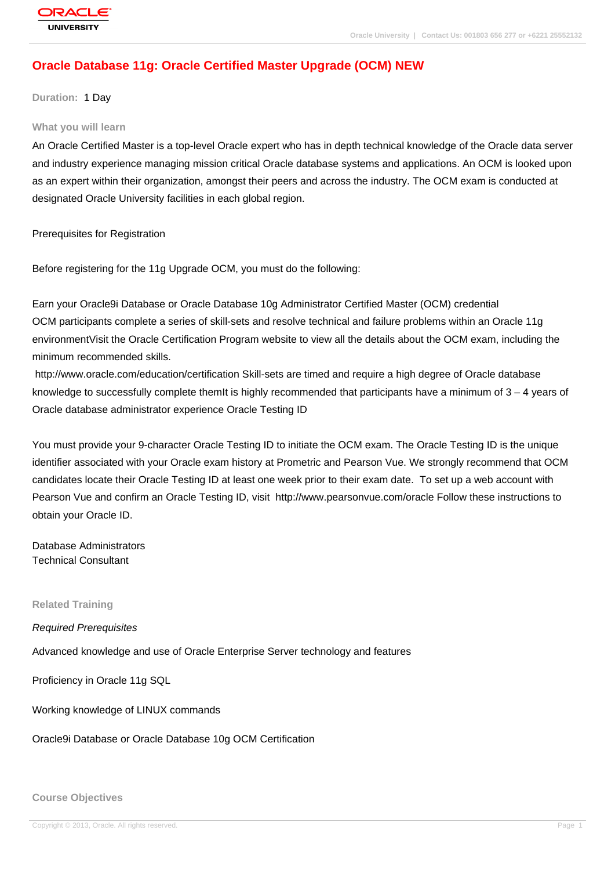# **[Oracle Databas](http://education.oracle.com/pls/web_prod-plq-dad/db_pages.getpage?page_id=3)e 11g: Oracle Certified Master Upgrade (OCM) NEW**

**Duration:** 1 Day

#### **What you will learn**

An Oracle Certified Master is a top-level Oracle expert who has in depth technical knowledge of the Oracle data server and industry experience managing mission critical Oracle database systems and applications. An OCM is looked upon as an expert within their organization, amongst their peers and across the industry. The OCM exam is conducted at designated Oracle University facilities in each global region.

Prerequisites for Registration

Before registering for the 11g Upgrade OCM, you must do the following:

Earn your Oracle9i Database or Oracle Database 10g Administrator Certified Master (OCM) credential OCM participants complete a series of skill-sets and resolve technical and failure problems within an Oracle 11g environmentVisit the Oracle Certification Program website to view all the details about the OCM exam, including the minimum recommended skills.

 http://www.oracle.com/education/certification Skill-sets are timed and require a high degree of Oracle database knowledge to successfully complete themIt is highly recommended that participants have a minimum of  $3 - 4$  years of Oracle database administrator experience Oracle Testing ID

You must provide your 9-character Oracle Testing ID to initiate the OCM exam. The Oracle Testing ID is the unique identifier associated with your Oracle exam history at Prometric and Pearson Vue. We strongly recommend that OCM candidates locate their Oracle Testing ID at least one week prior to their exam date. To set up a web account with Pearson Vue and confirm an Oracle Testing ID, visit http://www.pearsonvue.com/oracle Follow these instructions to obtain your Oracle ID.

Database Administrators Technical Consultant

**Related Training**

Required Prerequisites

Advanced knowledge and use of Oracle Enterprise Server technology and features

Proficiency in Oracle 11g SQL

Working knowledge of LINUX commands

Oracle9i Database or Oracle Database 10g OCM Certification

**Course Objectives**